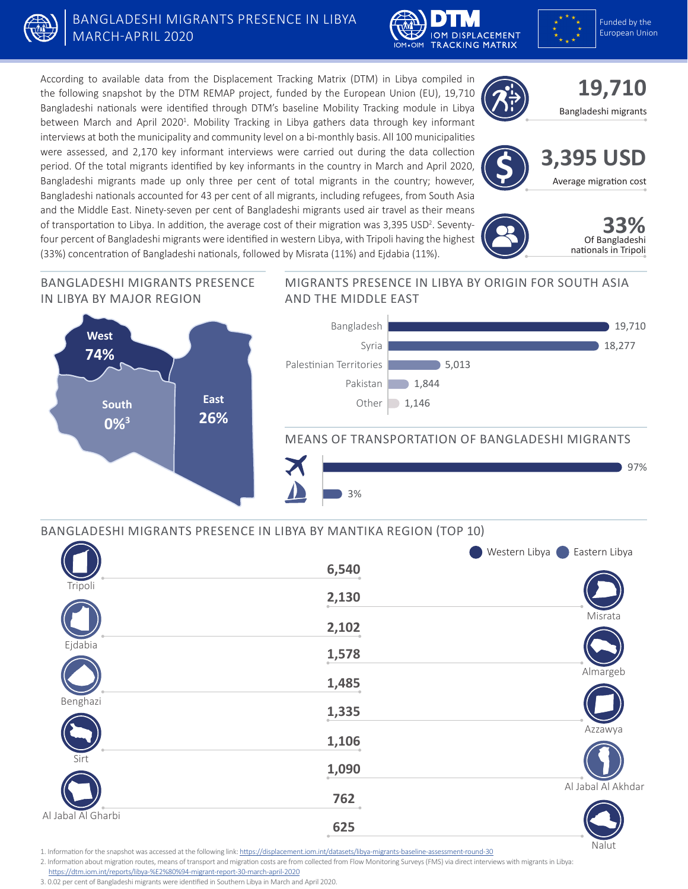

# BANGLADESHI MIGRANTS PRESENCE IN LIBYA MARCH-APRIL 2020





According to available data from the Displacement Tracking Matrix (DTM) in Libya compiled in the following snapshot by the DTM REMAP project, funded by the European Union (EU), 19,710 Bangladeshi nationals were identified through DTM's baseline Mobility Tracking module in Libya between March and April 2020<sup>1</sup>. Mobility Tracking in Libya gathers data through key informant interviews at both the municipality and community level on a bi-monthly basis. All 100 municipalities were assessed, and 2,170 key informant interviews were carried out during the data collection period. Of the total migrants identified by key informants in the country in March and April 2020, Bangladeshi migrants made up only three per cent of total migrants in the country; however, Bangladeshi nationals accounted for 43 per cent of all migrants, including refugees, from South Asia and the Middle East. Ninety-seven per cent of Bangladeshi migrants used air travel as their means of transportation to Libya. In addition, the average cost of their migration was 3,395 USD<sup>2</sup>. Seventyfour percent of Bangladeshi migrants were identified in western Libya, with Tripoli having the highest (33%) concentration of Bangladeshi nationals, followed by Misrata (11%) and Ejdabia (11%).





**3,395 USD**<br>Average migration cost





Nalut

#### BANGLADESHI MIGRANTS PRESENCE IN LIBYA BY MAJOR REGION



### MIGRANTS PRESENCE IN LIBYA BY ORIGIN FOR SOUTH ASIA AND THE MIDDLE EAST



## MEANS OF TRANSPORTATION OF BANGLADESHI MIGRANTS



# BANGLADESHI MIGRANTS PRESENCE IN LIBYA BY MANTIKA REGION (TOP 10)

|                    |               | Western Libya <b>C</b> Eastern Libya |
|--------------------|---------------|--------------------------------------|
|                    | 6,540         |                                      |
| Tripoli            | 2,130         |                                      |
|                    | 2,102         | Misrata                              |
| Ejdabia            | 1,578         |                                      |
|                    | 1,485         | Almargeb                             |
| Benghazi           | 1,335         |                                      |
|                    | 1,106         | Azzawya                              |
| Sirt               | 1,090         |                                      |
|                    | 762           | Al Jabal Al Akhdar                   |
| Al Jabal Al Gharbi | 625<br>$\sim$ |                                      |

1. Information for the snapshot was accessed at the following link: <https://displacement.iom.int/datasets/libya-migrants-baseline-assessment-round-30>

2. Information about migration routes, means of transport and migration costs are from collected from Flow Monitoring Surveys (FMS) via direct interviews with migrants in Libya:

<https://dtm.iom.int/reports/libya-%E2%80%94-migrant-report-30-march-april-2020>

3. 0.02 per cent of Bangladeshi migrants were identified in Southern Libya in March and April 2020.